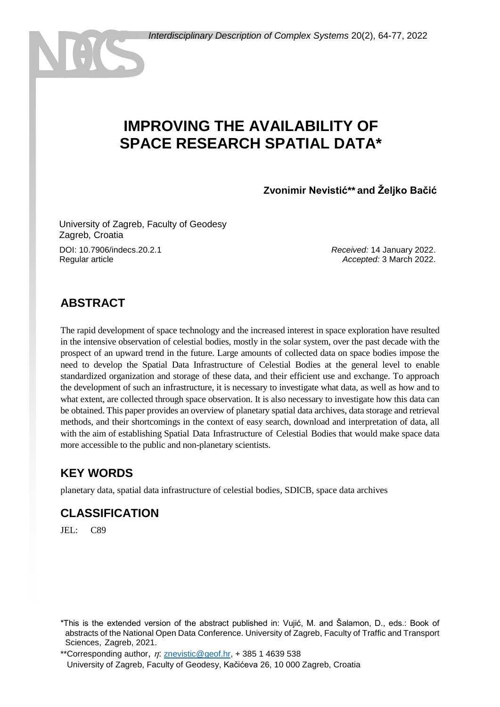# **IMPROVING THE AVAILABILITY OF SPACE RESEARCH SPATIAL DATA\***

**Zvonimir Nevistić\*\* and Željko Bačić**

<sup>1</sup>University of Zagreb, Faculty of Geodesy Zagreb, Croatia

DOI: 10.7906/indecs.20.2.1 Regular article

*Received:* 14 January 2022. *Accepted:* 3 March 2022.

### **ABSTRACT**

The rapid development of space technology and the increased interest in space exploration have resulted in the intensive observation of celestial bodies, mostly in the solar system, over the past decade with the prospect of an upward trend in the future. Large amounts of collected data on space bodies impose the need to develop the Spatial Data Infrastructure of Celestial Bodies at the general level to enable standardized organization and storage of these data, and their efficient use and exchange. To approach the development of such an infrastructure, it is necessary to investigate what data, as well as how and to what extent, are collected through space observation. It is also necessary to investigate how this data can be obtained. This paper provides an overview of planetary spatial data archives, data storage and retrieval methods, and their shortcomings in the context of easy search, download and interpretation of data, all with the aim of establishing Spatial Data Infrastructure of Celestial Bodies that would make space data more accessible to the public and non-planetary scientists.

# **KEY WORDS**

planetary data, spatial data infrastructure of celestial bodies, SDICB, space data archives

# **CLASSIFICATION**

 $JEI: C89$ 

<sup>\*</sup>This is the extended version of the abstract published in: Vujić, M. and Šalamon, D., eds.: Book of abstracts of the National Open Data Conference. University of Zagreb, Faculty of Traffic and Transport Sciences, Zagreb, 2021.

<sup>\*\*</sup>Corresponding author,  $\eta$ : [znevistic@geof.hr,](mailto:znevistic@geof.hr) + 385 1 4639 538 University of Zagreb, Faculty of Geodesy, Kačićeva 26, 10 000 Zagreb, Croatia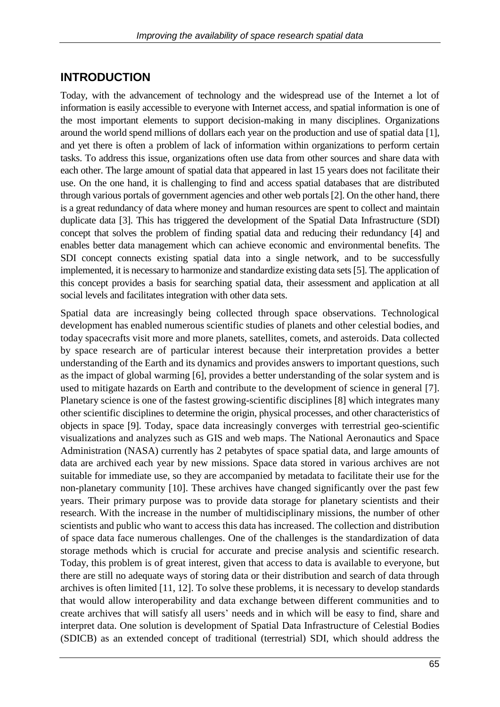### **INTRODUCTION**

Today, with the advancement of technology and the widespread use of the Internet a lot of information is easily accessible to everyone with Internet access, and spatial information is one of the most important elements to support decision-making in many disciplines. Organizations around the world spend millions of dollars each year on the production and use of spatial data [1], and yet there is often a problem of lack of information within organizations to perform certain tasks. To address this issue, organizations often use data from other sources and share data with each other. The large amount of spatial data that appeared in last 15 years does not facilitate their use. On the one hand, it is challenging to find and access spatial databases that are distributed through various portals of government agencies and other web portals [2]. On the other hand, there is a great redundancy of data where money and human resources are spent to collect and maintain duplicate data [3]. This has triggered the development of the Spatial Data Infrastructure (SDI) concept that solves the problem of finding spatial data and reducing their redundancy [4] and enables better data management which can achieve economic and environmental benefits. The SDI concept connects existing spatial data into a single network, and to be successfully implemented, it is necessary to harmonize and standardize existing data sets [5]. The application of this concept provides a basis for searching spatial data, their assessment and application at all social levels and facilitates integration with other data sets.

Spatial data are increasingly being collected through space observations. Technological development has enabled numerous scientific studies of planets and other celestial bodies, and today spacecrafts visit more and more planets, satellites, comets, and asteroids. Data collected by space research are of particular interest because their interpretation provides a better understanding of the Earth and its dynamics and provides answers to important questions, such as the impact of global warming [6], provides a better understanding of the solar system and is used to mitigate hazards on Earth and contribute to the development of science in general [7]. Planetary science is one of the fastest growing-scientific disciplines [8] which integrates many other scientific disciplines to determine the origin, physical processes, and other characteristics of objects in space [9]. Today, space data increasingly converges with terrestrial geo-scientific visualizations and analyzes such as GIS and web maps. The National Aeronautics and Space Administration (NASA) currently has 2 petabytes of space spatial data, and large amounts of data are archived each year by new missions. Space data stored in various archives are not suitable for immediate use, so they are accompanied by metadata to facilitate their use for the non-planetary community [10]. These archives have changed significantly over the past few years. Their primary purpose was to provide data storage for planetary scientists and their research. With the increase in the number of multidisciplinary missions, the number of other scientists and public who want to access this data has increased. The collection and distribution of space data face numerous challenges. One of the challenges is the standardization of data storage methods which is crucial for accurate and precise analysis and scientific research. Today, this problem is of great interest, given that access to data is available to everyone, but there are still no adequate ways of storing data or their distribution and search of data through archives is often limited [11, 12]. To solve these problems, it is necessary to develop standards that would allow interoperability and data exchange between different communities and to create archives that will satisfy all users' needs and in which will be easy to find, share and interpret data. One solution is development of Spatial Data Infrastructure of Celestial Bodies (SDICB) as an extended concept of traditional (terrestrial) SDI, which should address the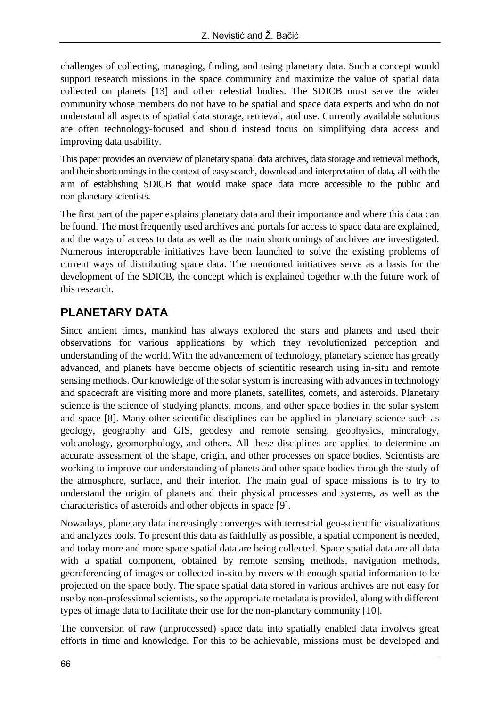challenges of collecting, managing, finding, and using planetary data. Such a concept would support research missions in the space community and maximize the value of spatial data collected on planets [13] and other celestial bodies. The SDICB must serve the wider community whose members do not have to be spatial and space data experts and who do not understand all aspects of spatial data storage, retrieval, and use. Currently available solutions are often technology-focused and should instead focus on simplifying data access and improving data usability.

This paper provides an overview of planetary spatial data archives, data storage and retrieval methods, and their shortcomings in the context of easy search, download and interpretation of data, all with the aim of establishing SDICB that would make space data more accessible to the public and non-planetary scientists.

The first part of the paper explains planetary data and their importance and where this data can be found. The most frequently used archives and portals for access to space data are explained, and the ways of access to data as well as the main shortcomings of archives are investigated. Numerous interoperable initiatives have been launched to solve the existing problems of current ways of distributing space data. The mentioned initiatives serve as a basis for the development of the SDICB, the concept which is explained together with the future work of this research.

### **PLANETARY DATA**

Since ancient times, mankind has always explored the stars and planets and used their observations for various applications by which they revolutionized perception and understanding of the world. With the advancement of technology, planetary science has greatly advanced, and planets have become objects of scientific research using in-situ and remote sensing methods. Our knowledge of the solar system is increasing with advances in technology and spacecraft are visiting more and more planets, satellites, comets, and asteroids. Planetary science is the science of studying planets, moons, and other space bodies in the solar system and space [8]. Many other scientific disciplines can be applied in planetary science such as geology, geography and GIS, geodesy and remote sensing, geophysics, mineralogy, volcanology, geomorphology, and others. All these disciplines are applied to determine an accurate assessment of the shape, origin, and other processes on space bodies. Scientists are working to improve our understanding of planets and other space bodies through the study of the atmosphere, surface, and their interior. The main goal of space missions is to try to understand the origin of planets and their physical processes and systems, as well as the characteristics of asteroids and other objects in space [9].

Nowadays, planetary data increasingly converges with terrestrial geo-scientific visualizations and analyzes tools. To present this data as faithfully as possible, a spatial component is needed, and today more and more space spatial data are being collected. Space spatial data are all data with a spatial component, obtained by remote sensing methods, navigation methods, georeferencing of images or collected in-situ by rovers with enough spatial information to be projected on the space body. The space spatial data stored in various archives are not easy for use by non-professional scientists, so the appropriate metadata is provided, along with different types of image data to facilitate their use for the non-planetary community [10].

The conversion of raw (unprocessed) space data into spatially enabled data involves great efforts in time and knowledge. For this to be achievable, missions must be developed and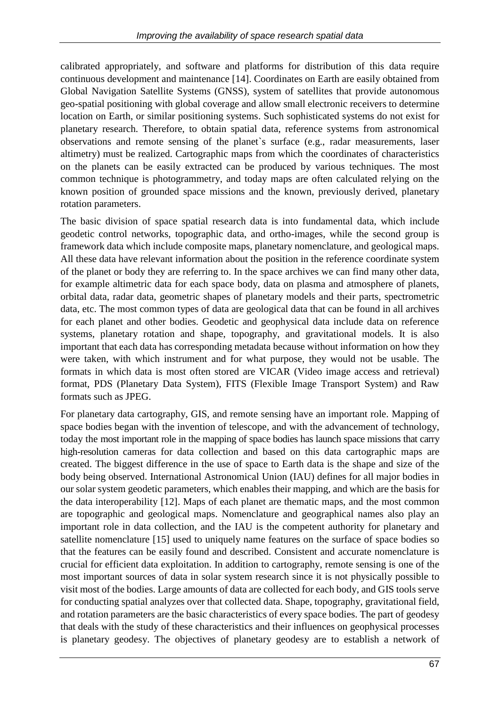calibrated appropriately, and software and platforms for distribution of this data require continuous development and maintenance [14]. Coordinates on Earth are easily obtained from Global Navigation Satellite Systems (GNSS), system of satellites that provide autonomous geo-spatial positioning with global coverage and allow small electronic receivers to determine location on Earth, or similar positioning systems. Such sophisticated systems do not exist for planetary research. Therefore, to obtain spatial data, reference systems from astronomical observations and remote sensing of the planet`s surface (e.g., radar measurements, laser altimetry) must be realized. Cartographic maps from which the coordinates of characteristics on the planets can be easily extracted can be produced by various techniques. The most common technique is photogrammetry, and today maps are often calculated relying on the known position of grounded space missions and the known, previously derived, planetary rotation parameters.

The basic division of space spatial research data is into fundamental data, which include geodetic control networks, topographic data, and ortho-images, while the second group is framework data which include composite maps, planetary nomenclature, and geological maps. All these data have relevant information about the position in the reference coordinate system of the planet or body they are referring to. In the space archives we can find many other data, for example altimetric data for each space body, data on plasma and atmosphere of planets, orbital data, radar data, geometric shapes of planetary models and their parts, spectrometric data, etc. The most common types of data are geological data that can be found in all archives for each planet and other bodies. Geodetic and geophysical data include data on reference systems, planetary rotation and shape, topography, and gravitational models. It is also important that each data has corresponding metadata because without information on how they were taken, with which instrument and for what purpose, they would not be usable. The formats in which data is most often stored are VICAR (Video image access and retrieval) format, PDS (Planetary Data System), FITS (Flexible Image Transport System) and Raw formats such as JPEG.

For planetary data cartography, GIS, and remote sensing have an important role. Mapping of space bodies began with the invention of telescope, and with the advancement of technology, today the most important role in the mapping of space bodies has launch space missions that carry high-resolution cameras for data collection and based on this data cartographic maps are created. The biggest difference in the use of space to Earth data is the shape and size of the body being observed. International Astronomical Union (IAU) defines for all major bodies in our solar system geodetic parameters, which enables their mapping, and which are the basis for the data interoperability [12]. Maps of each planet are thematic maps, and the most common are topographic and geological maps. Nomenclature and geographical names also play an important role in data collection, and the IAU is the competent authority for planetary and satellite nomenclature [15] used to uniquely name features on the surface of space bodies so that the features can be easily found and described. Consistent and accurate nomenclature is crucial for efficient data exploitation. In addition to cartography, remote sensing is one of the most important sources of data in solar system research since it is not physically possible to visit most of the bodies. Large amounts of data are collected for each body, and GIS tools serve for conducting spatial analyzes over that collected data. Shape, topography, gravitational field, and rotation parameters are the basic characteristics of every space bodies. The part of geodesy that deals with the study of these characteristics and their influences on geophysical processes is planetary geodesy. The objectives of planetary geodesy are to establish a network of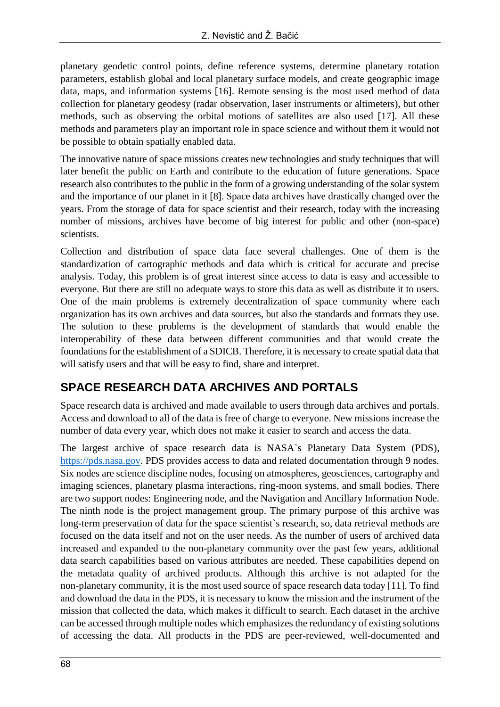planetary geodetic control points, define reference systems, determine planetary rotation parameters, establish global and local planetary surface models, and create geographic image data, maps, and information systems [16]. Remote sensing is the most used method of data collection for planetary geodesy (radar observation, laser instruments or altimeters), but other methods, such as observing the orbital motions of satellites are also used [17]. All these methods and parameters play an important role in space science and without them it would not be possible to obtain spatially enabled data.

The innovative nature of space missions creates new technologies and study techniques that will later benefit the public on Earth and contribute to the education of future generations. Space research also contributes to the public in the form of a growing understanding of the solar system and the importance of our planet in it [8]. Space data archives have drastically changed over the years. From the storage of data for space scientist and their research, today with the increasing number of missions, archives have become of big interest for public and other (non-space) scientists.

Collection and distribution of space data face several challenges. One of them is the standardization of cartographic methods and data which is critical for accurate and precise analysis. Today, this problem is of great interest since access to data is easy and accessible to everyone. But there are still no adequate ways to store this data as well as distribute it to users. One of the main problems is extremely decentralization of space community where each organization has its own archives and data sources, but also the standards and formats they use. The solution to these problems is the development of standards that would enable the interoperability of these data between different communities and that would create the foundations for the establishment of a SDICB. Therefore, it is necessary to create spatial data that will satisfy users and that will be easy to find, share and interpret.

# **SPACE RESEARCH DATA ARCHIVES AND PORTALS**

Space research data is archived and made available to users through data archives and portals. Access and download to all of the data is free of charge to everyone. New missions increase the number of data every year, which does not make it easier to search and access the data.

The largest archive of space research data is NASA`s Planetary Data System (PDS), [https://pds.nasa.gov.](https://pds.nasa.gov/) PDS provides access to data and related documentation through 9 nodes. Six nodes are science discipline nodes, focusing on atmospheres, geosciences, cartography and imaging sciences, planetary plasma interactions, ring-moon systems, and small bodies. There are two support nodes: Engineering node, and the Navigation and Ancillary Information Node. The ninth node is the project management group. The primary purpose of this archive was long-term preservation of data for the space scientist`s research, so, data retrieval methods are focused on the data itself and not on the user needs. As the number of users of archived data increased and expanded to the non-planetary community over the past few years, additional data search capabilities based on various attributes are needed. These capabilities depend on the metadata quality of archived products. Although this archive is not adapted for the non-planetary community, it is the most used source of space research data today [11]. To find and download the data in the PDS, it is necessary to know the mission and the instrument of the mission that collected the data, which makes it difficult to search. Each dataset in the archive can be accessed through multiple nodes which emphasizes the redundancy of existing solutions of accessing the data. All products in the PDS are peer-reviewed, well-documented and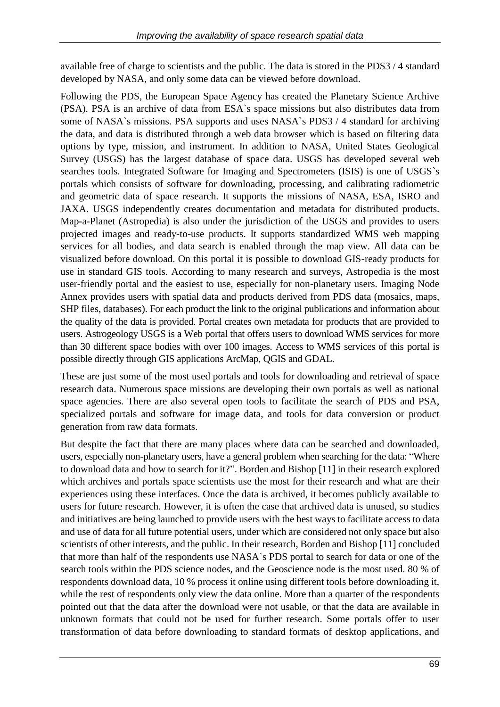available free of charge to scientists and the public. The data is stored in the PDS3 / 4 standard developed by NASA, and only some data can be viewed before download.

Following the PDS, the European Space Agency has created the Planetary Science Archive (PSA). PSA is an archive of data from ESA`s space missions but also distributes data from some of NASA`s missions. PSA supports and uses NASA`s PDS3 / 4 standard for archiving the data, and data is distributed through a web data browser which is based on filtering data options by type, mission, and instrument. In addition to NASA, United States Geological Survey (USGS) has the largest database of space data. USGS has developed several web searches tools. Integrated Software for Imaging and Spectrometers (ISIS) is one of USGS`s portals which consists of software for downloading, processing, and calibrating radiometric and geometric data of space research. It supports the missions of NASA, ESA, ISRO and JAXA. USGS independently creates documentation and metadata for distributed products. Map-a-Planet (Astropedia) is also under the jurisdiction of the USGS and provides to users projected images and ready-to-use products. It supports standardized WMS web mapping services for all bodies, and data search is enabled through the map view. All data can be visualized before download. On this portal it is possible to download GIS-ready products for use in standard GIS tools. According to many research and surveys, Astropedia is the most user-friendly portal and the easiest to use, especially for non-planetary users. Imaging Node Annex provides users with spatial data and products derived from PDS data (mosaics, maps, SHP files, databases). For each product the link to the original publications and information about the quality of the data is provided. Portal creates own metadata for products that are provided to users. Astrogeology USGS is a Web portal that offers users to download WMS services for more than 30 different space bodies with over 100 images. Access to WMS services of this portal is possible directly through GIS applications ArcMap, QGIS and GDAL.

These are just some of the most used portals and tools for downloading and retrieval of space research data. Numerous space missions are developing their own portals as well as national space agencies. There are also several open tools to facilitate the search of PDS and PSA, specialized portals and software for image data, and tools for data conversion or product generation from raw data formats.

But despite the fact that there are many places where data can be searched and downloaded, users, especially non-planetary users, have a general problem when searching for the data: "Where to download data and how to search for it?". Borden and Bishop [11] in their research explored which archives and portals space scientists use the most for their research and what are their experiences using these interfaces. Once the data is archived, it becomes publicly available to users for future research. However, it is often the case that archived data is unused, so studies and initiatives are being launched to provide users with the best ways to facilitate access to data and use of data for all future potential users, under which are considered not only space but also scientists of other interests, and the public. In their research, Borden and Bishop [11] concluded that more than half of the respondents use NASA`s PDS portal to search for data or one of the search tools within the PDS science nodes, and the Geoscience node is the most used. 80 % of respondents download data, 10 % process it online using different tools before downloading it, while the rest of respondents only view the data online. More than a quarter of the respondents pointed out that the data after the download were not usable, or that the data are available in unknown formats that could not be used for further research. Some portals offer to user transformation of data before downloading to standard formats of desktop applications, and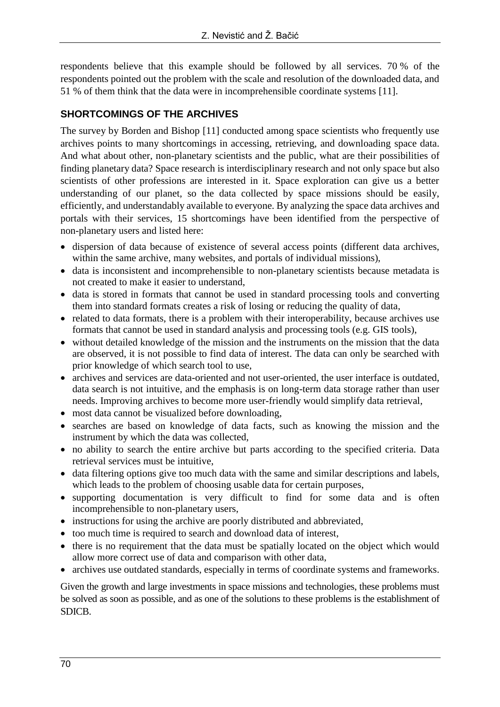respondents believe that this example should be followed by all services. 70 % of the respondents pointed out the problem with the scale and resolution of the downloaded data, and 51 % of them think that the data were in incomprehensible coordinate systems [11].

#### **SHORTCOMINGS OF THE ARCHIVES**

The survey by Borden and Bishop [11] conducted among space scientists who frequently use archives points to many shortcomings in accessing, retrieving, and downloading space data. And what about other, non-planetary scientists and the public, what are their possibilities of finding planetary data? Space research is interdisciplinary research and not only space but also scientists of other professions are interested in it. Space exploration can give us a better understanding of our planet, so the data collected by space missions should be easily, efficiently, and understandably available to everyone. By analyzing the space data archives and portals with their services, 15 shortcomings have been identified from the perspective of non-planetary users and listed here:

- dispersion of data because of existence of several access points (different data archives, within the same archive, many websites, and portals of individual missions),
- data is inconsistent and incomprehensible to non-planetary scientists because metadata is not created to make it easier to understand,
- data is stored in formats that cannot be used in standard processing tools and converting them into standard formats creates a risk of losing or reducing the quality of data,
- related to data formats, there is a problem with their interoperability, because archives use formats that cannot be used in standard analysis and processing tools (e.g. GIS tools),
- without detailed knowledge of the mission and the instruments on the mission that the data are observed, it is not possible to find data of interest. The data can only be searched with prior knowledge of which search tool to use,
- archives and services are data-oriented and not user-oriented, the user interface is outdated. data search is not intuitive, and the emphasis is on long-term data storage rather than user needs. Improving archives to become more user-friendly would simplify data retrieval,
- most data cannot be visualized before downloading,
- searches are based on knowledge of data facts, such as knowing the mission and the instrument by which the data was collected,
- no ability to search the entire archive but parts according to the specified criteria. Data retrieval services must be intuitive,
- data filtering options give too much data with the same and similar descriptions and labels, which leads to the problem of choosing usable data for certain purposes,
- supporting documentation is very difficult to find for some data and is often incomprehensible to non-planetary users,
- instructions for using the archive are poorly distributed and abbreviated,
- too much time is required to search and download data of interest,
- there is no requirement that the data must be spatially located on the object which would allow more correct use of data and comparison with other data,
- archives use outdated standards, especially in terms of coordinate systems and frameworks.

Given the growth and large investments in space missions and technologies, these problems must be solved as soon as possible, and as one of the solutions to these problems is the establishment of SDICB.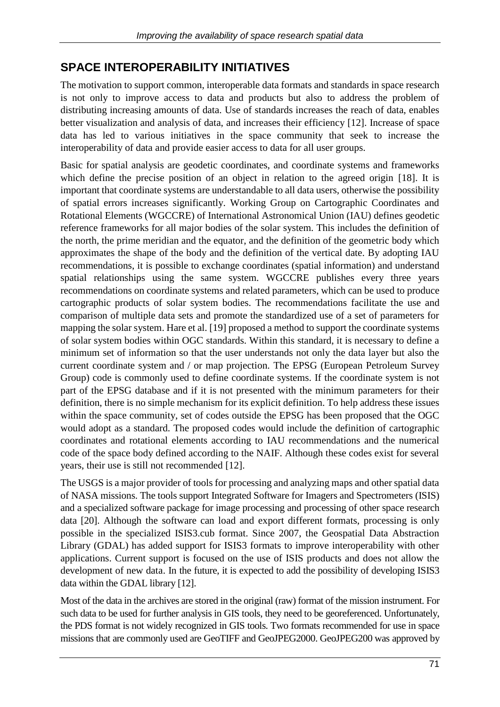### **SPACE INTEROPERABILITY INITIATIVES**

The motivation to support common, interoperable data formats and standards in space research is not only to improve access to data and products but also to address the problem of distributing increasing amounts of data. Use of standards increases the reach of data, enables better visualization and analysis of data, and increases their efficiency [12]. Increase of space data has led to various initiatives in the space community that seek to increase the interoperability of data and provide easier access to data for all user groups.

Basic for spatial analysis are geodetic coordinates, and coordinate systems and frameworks which define the precise position of an object in relation to the agreed origin [18]. It is important that coordinate systems are understandable to all data users, otherwise the possibility of spatial errors increases significantly. Working Group on Cartographic Coordinates and Rotational Elements (WGCCRE) of International Astronomical Union (IAU) defines geodetic reference frameworks for all major bodies of the solar system. This includes the definition of the north, the prime meridian and the equator, and the definition of the geometric body which approximates the shape of the body and the definition of the vertical date. By adopting IAU recommendations, it is possible to exchange coordinates (spatial information) and understand spatial relationships using the same system. WGCCRE publishes every three years recommendations on coordinate systems and related parameters, which can be used to produce cartographic products of solar system bodies. The recommendations facilitate the use and comparison of multiple data sets and promote the standardized use of a set of parameters for mapping the solar system. Hare et al. [19] proposed a method to support the coordinate systems of solar system bodies within OGC standards. Within this standard, it is necessary to define a minimum set of information so that the user understands not only the data layer but also the current coordinate system and / or map projection. The EPSG (European Petroleum Survey Group) code is commonly used to define coordinate systems. If the coordinate system is not part of the EPSG database and if it is not presented with the minimum parameters for their definition, there is no simple mechanism for its explicit definition. To help address these issues within the space community, set of codes outside the EPSG has been proposed that the OGC would adopt as a standard. The proposed codes would include the definition of cartographic coordinates and rotational elements according to IAU recommendations and the numerical code of the space body defined according to the NAIF. Although these codes exist for several years, their use is still not recommended [12].

The USGS is a major provider of tools for processing and analyzing maps and other spatial data of NASA missions. The tools support Integrated Software for Imagers and Spectrometers (ISIS) and a specialized software package for image processing and processing of other space research data [20]. Although the software can load and export different formats, processing is only possible in the specialized ISIS3.cub format. Since 2007, the Geospatial Data Abstraction Library (GDAL) has added support for ISIS3 formats to improve interoperability with other applications. Current support is focused on the use of ISIS products and does not allow the development of new data. In the future, it is expected to add the possibility of developing ISIS3 data within the GDAL library [12].

Most of the data in the archives are stored in the original (raw) format of the mission instrument. For such data to be used for further analysis in GIS tools, they need to be georeferenced. Unfortunately, the PDS format is not widely recognized in GIS tools. Two formats recommended for use in space missions that are commonly used are GeoTIFF and GeoJPEG2000. GeoJPEG200 was approved by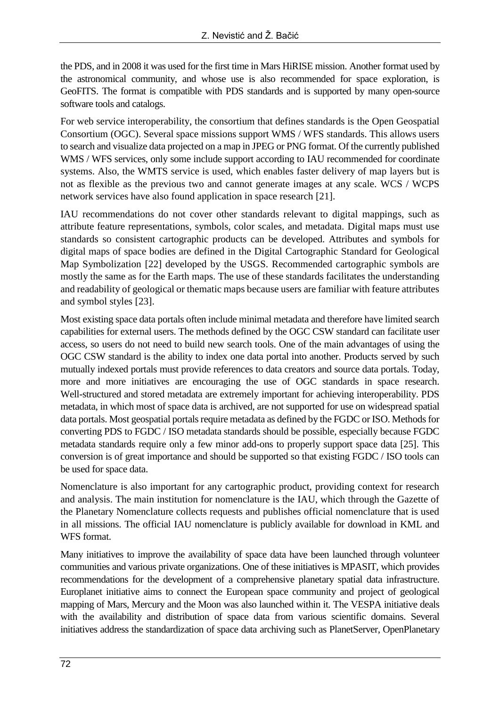the PDS, and in 2008 it was used for the first time in Mars HiRISE mission. Another format used by the astronomical community, and whose use is also recommended for space exploration, is GeoFITS. The format is compatible with PDS standards and is supported by many open-source software tools and catalogs.

For web service interoperability, the consortium that defines standards is the Open Geospatial Consortium (OGC). Several space missions support WMS / WFS standards. This allows users to search and visualize data projected on a map in JPEG or PNG format. Of the currently published WMS / WFS services, only some include support according to IAU recommended for coordinate systems. Also, the WMTS service is used, which enables faster delivery of map layers but is not as flexible as the previous two and cannot generate images at any scale. WCS / WCPS network services have also found application in space research [21].

IAU recommendations do not cover other standards relevant to digital mappings, such as attribute feature representations, symbols, color scales, and metadata. Digital maps must use standards so consistent cartographic products can be developed. Attributes and symbols for digital maps of space bodies are defined in the Digital Cartographic Standard for Geological Map Symbolization [22] developed by the USGS. Recommended cartographic symbols are mostly the same as for the Earth maps. The use of these standards facilitates the understanding and readability of geological or thematic maps because users are familiar with feature attributes and symbol styles [23].

Most existing space data portals often include minimal metadata and therefore have limited search capabilities for external users. The methods defined by the OGC CSW standard can facilitate user access, so users do not need to build new search tools. One of the main advantages of using the OGC CSW standard is the ability to index one data portal into another. Products served by such mutually indexed portals must provide references to data creators and source data portals. Today, more and more initiatives are encouraging the use of OGC standards in space research. Well-structured and stored metadata are extremely important for achieving interoperability. PDS metadata, in which most of space data is archived, are not supported for use on widespread spatial data portals. Most geospatial portals require metadata as defined by the FGDC or ISO. Methods for converting PDS to FGDC / ISO metadata standards should be possible, especially because FGDC metadata standards require only a few minor add-ons to properly support space data [25]. This conversion is of great importance and should be supported so that existing FGDC / ISO tools can be used for space data.

Nomenclature is also important for any cartographic product, providing context for research and analysis. The main institution for nomenclature is the IAU, which through the Gazette of the Planetary Nomenclature collects requests and publishes official nomenclature that is used in all missions. The official IAU nomenclature is publicly available for download in KML and WFS format.

Many initiatives to improve the availability of space data have been launched through volunteer communities and various private organizations. One of these initiatives is MPASIT, which provides recommendations for the development of a comprehensive planetary spatial data infrastructure. Europlanet initiative aims to connect the European space community and project of geological mapping of Mars, Mercury and the Moon was also launched within it. The VESPA initiative deals with the availability and distribution of space data from various scientific domains. Several initiatives address the standardization of space data archiving such as PlanetServer, OpenPlanetary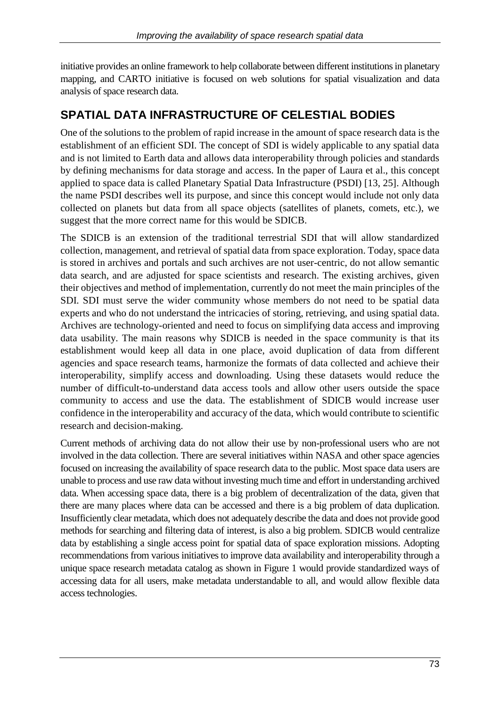initiative provides an online framework to help collaborate between different institutions in planetary mapping, and CARTO initiative is focused on web solutions for spatial visualization and data analysis of space research data.

### **SPATIAL DATA INFRASTRUCTURE OF CELESTIAL BODIES**

One of the solutions to the problem of rapid increase in the amount of space research data is the establishment of an efficient SDI. The concept of SDI is widely applicable to any spatial data and is not limited to Earth data and allows data interoperability through policies and standards by defining mechanisms for data storage and access. In the paper of Laura et al., this concept applied to space data is called Planetary Spatial Data Infrastructure (PSDI) [13, 25]. Although the name PSDI describes well its purpose, and since this concept would include not only data collected on planets but data from all space objects (satellites of planets, comets, etc.), we suggest that the more correct name for this would be SDICB.

The SDICB is an extension of the traditional terrestrial SDI that will allow standardized collection, management, and retrieval of spatial data from space exploration. Today, space data is stored in archives and portals and such archives are not user-centric, do not allow semantic data search, and are adjusted for space scientists and research. The existing archives, given their objectives and method of implementation, currently do not meet the main principles of the SDI. SDI must serve the wider community whose members do not need to be spatial data experts and who do not understand the intricacies of storing, retrieving, and using spatial data. Archives are technology-oriented and need to focus on simplifying data access and improving data usability. The main reasons why SDICB is needed in the space community is that its establishment would keep all data in one place, avoid duplication of data from different agencies and space research teams, harmonize the formats of data collected and achieve their interoperability, simplify access and downloading. Using these datasets would reduce the number of difficult-to-understand data access tools and allow other users outside the space community to access and use the data. The establishment of SDICB would increase user confidence in the interoperability and accuracy of the data, which would contribute to scientific research and decision-making.

Current methods of archiving data do not allow their use by non-professional users who are not involved in the data collection. There are several initiatives within NASA and other space agencies focused on increasing the availability of space research data to the public. Most space data users are unable to process and use raw data without investing much time and effort in understanding archived data. When accessing space data, there is a big problem of decentralization of the data, given that there are many places where data can be accessed and there is a big problem of data duplication. Insufficiently clear metadata, which does not adequately describe the data and does not provide good methods for searching and filtering data of interest, is also a big problem. SDICB would centralize data by establishing a single access point for spatial data of space exploration missions. Adopting recommendations from various initiatives to improve data availability and interoperability through a unique space research metadata catalog as shown in Figure 1 would provide standardized ways of accessing data for all users, make metadata understandable to all, and would allow flexible data access technologies.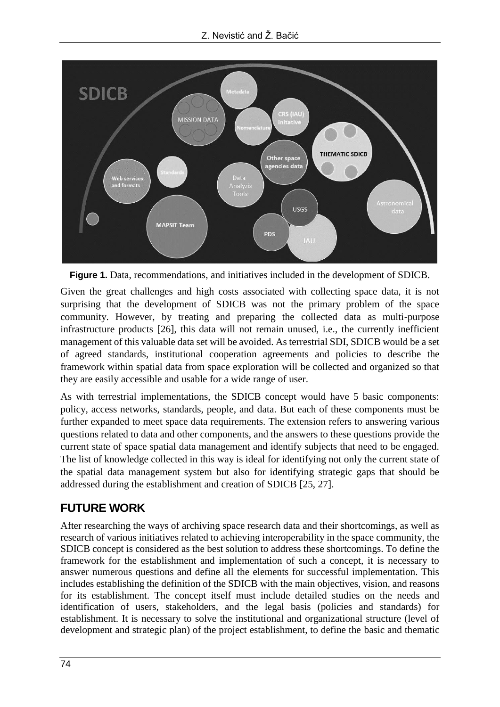

**Figure 1.** Data, recommendations, and initiatives included in the development of SDICB.

Given the great challenges and high costs associated with collecting space data, it is not surprising that the development of SDICB was not the primary problem of the space community. However, by treating and preparing the collected data as multi-purpose infrastructure products [26], this data will not remain unused, i.e., the currently inefficient management of this valuable data set will be avoided. As terrestrial SDI, SDICB would be a set of agreed standards, institutional cooperation agreements and policies to describe the framework within spatial data from space exploration will be collected and organized so that they are easily accessible and usable for a wide range of user.

As with terrestrial implementations, the SDICB concept would have 5 basic components: policy, access networks, standards, people, and data. But each of these components must be further expanded to meet space data requirements. The extension refers to answering various questions related to data and other components, and the answers to these questions provide the current state of space spatial data management and identify subjects that need to be engaged. The list of knowledge collected in this way is ideal for identifying not only the current state of the spatial data management system but also for identifying strategic gaps that should be addressed during the establishment and creation of SDICB [25, 27].

# **FUTURE WORK**

After researching the ways of archiving space research data and their shortcomings, as well as research of various initiatives related to achieving interoperability in the space community, the SDICB concept is considered as the best solution to address these shortcomings. To define the framework for the establishment and implementation of such a concept, it is necessary to answer numerous questions and define all the elements for successful implementation. This includes establishing the definition of the SDICB with the main objectives, vision, and reasons for its establishment. The concept itself must include detailed studies on the needs and identification of users, stakeholders, and the legal basis (policies and standards) for establishment. It is necessary to solve the institutional and organizational structure (level of development and strategic plan) of the project establishment, to define the basic and thematic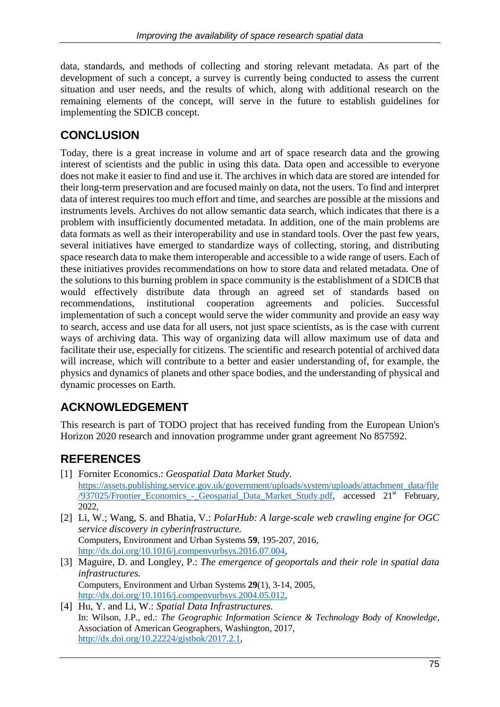data, standards, and methods of collecting and storing relevant metadata. As part of the development of such a concept, a survey is currently being conducted to assess the current situation and user needs, and the results of which, along with additional research on the remaining elements of the concept, will serve in the future to establish guidelines for implementing the SDICB concept.

# **CONCLUSION**

Today, there is a great increase in volume and art of space research data and the growing interest of scientists and the public in using this data. Data open and accessible to everyone does not make it easier to find and use it. The archives in which data are stored are intended for their long-term preservation and are focused mainly on data, not the users. To find and interpret data of interest requires too much effort and time, and searches are possible at the missions and instruments levels. Archives do not allow semantic data search, which indicates that there is a problem with insufficiently documented metadata. In addition, one of the main problems are data formats as well as their interoperability and use in standard tools. Over the past few years, several initiatives have emerged to standardize ways of collecting, storing, and distributing space research data to make them interoperable and accessible to a wide range of users. Each of these initiatives provides recommendations on how to store data and related metadata. One of the solutions to this burning problem in space community is the establishment of a SDICB that would effectively distribute data through an agreed set of standards based on recommendations, institutional cooperation agreements and policies. Successful implementation of such a concept would serve the wider community and provide an easy way to search, access and use data for all users, not just space scientists, as is the case with current ways of archiving data. This way of organizing data will allow maximum use of data and facilitate their use, especially for citizens. The scientific and research potential of archived data will increase, which will contribute to a better and easier understanding of, for example, the physics and dynamics of planets and other space bodies, and the understanding of physical and dynamic processes on Earth.

# **ACKNOWLEDGEMENT**

This research is part of TODO project that has received funding from the European Union's Horizon 2020 research and innovation programme under grant agreement No 857592.

# **REFERENCES**

- [1] Forniter Economics.: *Geospatial Data Market Study.* [https://assets.publishing.service.gov.uk/government/uploads/system/uploads/attachment\\_data/file](https://assets.publishing.service.gov.uk/government/uploads/system/uploads/attachment_data/file/937025/Frontier_Economics_-_Geospatial_Data_Market_Study.pdf) [/937025/Frontier\\_Economics\\_-\\_Geospatial\\_Data\\_Market\\_Study.pdf,](https://assets.publishing.service.gov.uk/government/uploads/system/uploads/attachment_data/file/937025/Frontier_Economics_-_Geospatial_Data_Market_Study.pdf) accessed 21st February, 2022,
- [2] Li, W.; Wang, S. and Bhatia, V.: *PolarHub: A large-scale web crawling engine for OGC service discovery in cyberinfrastructure.* Computers, Environment and Urban Systems **59**, 195-207, 2016, [http://dx.doi.org/10.1016/j.compenvurbsys.2016.07.004,](http://dx.doi.org/10.1016/j.compenvurbsys.2016.07.004)
- [3] Maguire, D. and Longley, P.: *The emergence of geoportals and their role in spatial data infrastructures.* Computers, Environment and Urban Systems **29**(1), 3-14, 2005, [http://dx.doi.org/10.1016/j.compenvurbsys.2004.05.012,](http://dx.doi.org/10.1016/j.compenvurbsys.2004.05.012)
- [4] Hu, Y. and Li, W.: *Spatial Data Infrastructures.* In: Wilson, J.P., ed.: *The Geographic Information Science & Technology Body of Knowledge*, Association of American Geographers, Washington, 2017, [http://dx.doi.org/10.22224/gistbok/2017.2.1,](http://dx.doi.org/10.22224/gistbok/2017.2.1)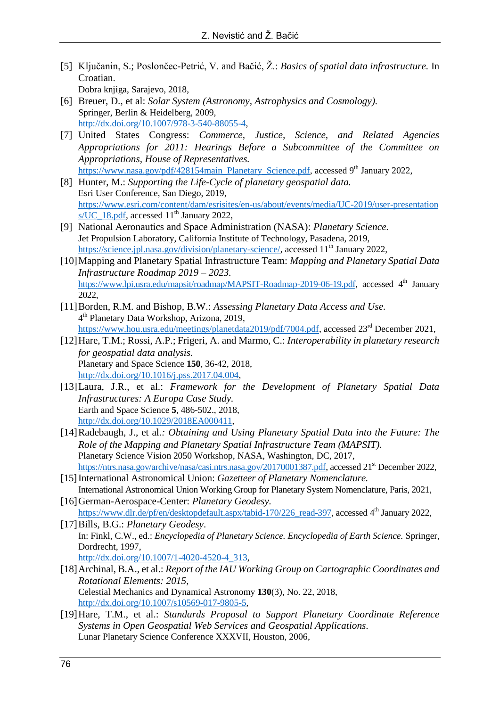- [5] Ključanin, S.; Poslončec-Petrić, V. and Bačić, Ž.: *Basics of spatial data infrastructure.* In Croatian. Dobra knjiga, Sarajevo, 2018,
- [6] Breuer, D., et al: *Solar System (Astronomy, Astrophysics and Cosmology).* Springer, Berlin & Heidelberg, 2009, [http://dx.doi.org/10.1007/978-3-540-88055-4,](http://dx.doi.org/10.1007/978-3-540-88055-4)
- [7] United States Congress: *Commerce, Justice, Science, and Related Agencies Appropriations for 2011: Hearings Before a Subcommittee of the Committee on Appropriations, House of Representatives.* [https://www.nasa.gov/pdf/428154main\\_Planetary\\_Science.pdf,](https://www.nasa.gov/pdf/428154main_Planetary_Science.pdf) accessed 9<sup>th</sup> January 2022,
- [8] Hunter, M.: *Supporting the Life-Cycle of planetary geospatial data.* Esri User Conference, San Diego, 2019, [https://www.esri.com/content/dam/esrisites/en-us/about/events/media/UC-2019/user-presentation](https://www.esri.com/content/dam/esrisites/en-us/about/events/media/UC-2019/user-presentations/UC_18.pdf) [s/UC\\_18.pdf,](https://www.esri.com/content/dam/esrisites/en-us/about/events/media/UC-2019/user-presentations/UC_18.pdf) accessed  $11<sup>th</sup>$  January 2022,
- [9] National Aeronautics and Space Administration (NASA): *Planetary Science.* Jet Propulsion Laboratory, California Institute of Technology, Pasadena, 2019, [https://science.jpl.nasa.gov/division/planetary-science/,](https://science.jpl.nasa.gov/division/planetary-science/) accessed 11<sup>th</sup> January 2022,
- [10]Mapping and Planetary Spatial Infrastructure Team: *Mapping and Planetary Spatial Data Infrastructure Roadmap 2019 – 2023.* [https://www.lpi.usra.edu/mapsit/roadmap/MAPSIT-Roadmap-2019-06-19.pdf,](https://www.lpi.usra.edu/mapsit/roadmap/MAPSIT-Roadmap-2019-06-19.pdf) accessed 4<sup>th</sup> January 2022,
- [11]Borden, R.M. and Bishop, B.W.: *Assessing Planetary Data Access and Use.* 4 th Planetary Data Workshop, Arizona, 2019, [https://www.hou.usra.edu/meetings/planetdata2019/pdf/7004.pdf,](https://www.hou.usra.edu/meetings/planetdata2019/pdf/7004.pdf) accessed 23<sup>rd</sup> December 2021,
- [12]Hare, T.M.; Rossi, A.P.; Frigeri, A. and Marmo, C.: *Interoperability in planetary research for geospatial data analysis.* Planetary and Space Science **150**, 36-42, 2018, [http://dx.doi.org/10.1016/j.pss.2017.04.004,](http://dx.doi.org/10.1016/j.pss.2017.04.004)
- [13]Laura, J.R., et al.: *Framework for the Development of Planetary Spatial Data Infrastructures: A Europa Case Study.* Earth and Space Science **5**, 486-502., 2018, [http://dx.doi.org/10.1029/2018EA000411,](http://dx.doi.org/10.1029/2018EA000411)
- [14]Radebaugh, J., et al*.: Obtaining and Using Planetary Spatial Data into the Future: The Role of the Mapping and Planetary Spatial Infrastructure Team (MAPSIT).* Planetary Science Vision 2050 Workshop, NASA, Washington, DC, 2017, [https://ntrs.nasa.gov/archive/nasa/casi.ntrs.nasa.gov/20170001387.pdf,](https://ntrs.nasa.gov/archive/nasa/casi.ntrs.nasa.gov/20170001387.pdf) accessed 21<sup>st</sup> December 2022,
- [15]International Astronomical Union: *Gazetteer of Planetary Nomenclature.* International Astronomical Union Working Group for Planetary System Nomenclature, Paris, 2021,
- [16]German-Aerospace-Center: *Planetary Geodesy.* [https://www.dlr.de/pf/en/desktopdefault.aspx/tabid-170/226\\_read-397,](https://www.dlr.de/pf/en/desktopdefault.aspx/tabid-170/226_read-397) accessed 4<sup>th</sup> January 2022,
- [17]Bills, B.G.: *Planetary Geodesy*. In: Finkl, C.W., ed.: *Encyclopedia of Planetary Science. Encyclopedia of Earth Science.* Springer, Dordrecht, 1997, [http://dx.doi.org/10.1007/1-4020-4520-4\\_313,](http://dx.doi.org/10.1007/1-4020-4520-4_313)
- [18]Archinal, B.A., et al.: *Report of the IAU Working Group on Cartographic Coordinates and Rotational Elements: 2015,* Celestial Mechanics and Dynamical Astronomy **130**(3), No. 22, 2018, [http://dx.doi.org/10.1007/s10569-017-9805-5,](http://dx.doi.org/10.1007/s10569-017-9805-5)
- [19]Hare, T.M., et al.: *Standards Proposal to Support Planetary Coordinate Reference Systems in Open Geospatial Web Services and Geospatial Applications.* Lunar Planetary Science Conference XXXVII, Houston, 2006,